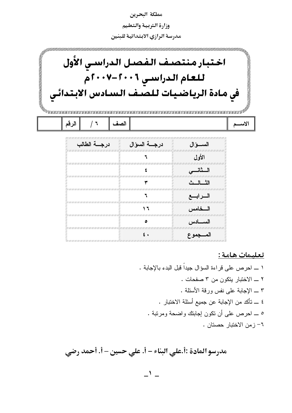

تعلىمات هامة :

مدرسو المادة :أ.علي البناء – أ. علي حسين – أ. أحمد رضي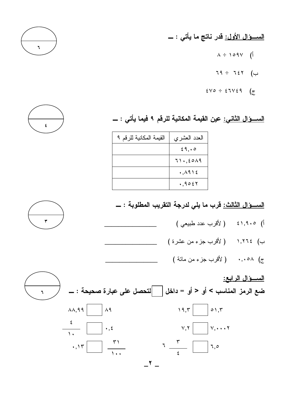ا<u>لســــوَّال الأول:</u> قدر ناتج ما يأتي : ـــ

- $\lambda \div 109V$  (1)
- $79 \div 727$  (ب
- $\epsilon \vee \circ \div \epsilon \vee \epsilon \circ$  (z



<u>الســــوَال الثانـي:</u> عين القيمـة المكانيـة للرقم ٩ فيمـا يأت*ي* : ــــ

| القيمة المكانية للرقم ٩ | العدد العشري |
|-------------------------|--------------|
|                         | 29,00        |
|                         | 71.5019      |
|                         | .1915        |
|                         | .9057        |



- أ) ١,٩٠٥٤ ( لأقرب عدد طبيعي )
- ب) ١,٢٦٤ ( لأقرب جزء من عشرة ) \_\_\_\_\_ ج) ۰٫۰۵۸ ( لأقرب جزء من مائة )

السوال الرابع: